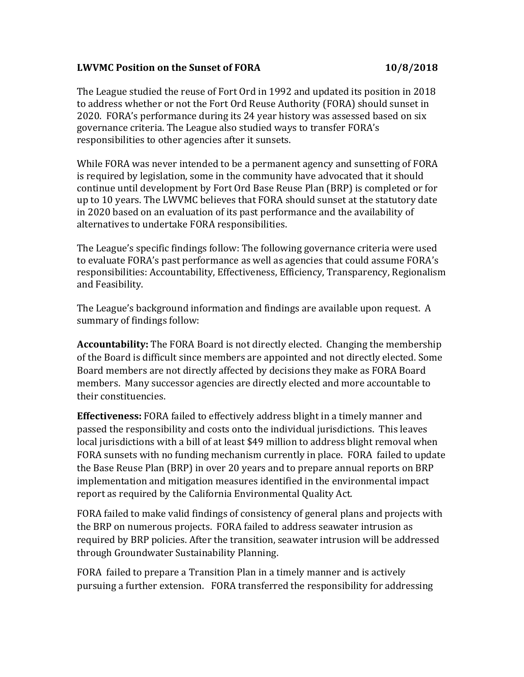## **LWVMC Position on the Sunset of FORA 10/8/2018**

The League studied the reuse of Fort Ord in 1992 and updated its position in 2018 to address whether or not the Fort Ord Reuse Authority (FORA) should sunset in 2020. FORA's performance during its 24 year history was assessed based on six governance criteria. The League also studied ways to transfer FORA's responsibilities to other agencies after it sunsets.

While FORA was never intended to be a permanent agency and sunsetting of FORA is required by legislation, some in the community have advocated that it should continue until development by Fort Ord Base Reuse Plan (BRP) is completed or for up to 10 years. The LWVMC believes that FORA should sunset at the statutory date in 2020 based on an evaluation of its past performance and the availability of alternatives to undertake FORA responsibilities.

The League's specific findings follow: The following governance criteria were used to evaluate FORA's past performance as well as agencies that could assume FORA's responsibilities: Accountability, Effectiveness, Efficiency, Transparency, Regionalism and Feasibility.

The League's background information and findings are available upon request. A summary of findings follow:

**Accountability:** The FORA Board is not directly elected. Changing the membership of the Board is difficult since members are appointed and not directly elected. Some Board members are not directly affected by decisions they make as FORA Board members. Many successor agencies are directly elected and more accountable to their constituencies.

**Effectiveness:** FORA failed to effectively address blight in a timely manner and passed the responsibility and costs onto the individual jurisdictions. This leaves local jurisdictions with a bill of at least \$49 million to address blight removal when FORA sunsets with no funding mechanism currently in place. FORA failed to update the Base Reuse Plan (BRP) in over 20 years and to prepare annual reports on BRP implementation and mitigation measures identified in the environmental impact report as required by the California Environmental Quality Act.

FORA failed to make valid findings of consistency of general plans and projects with the BRP on numerous projects. FORA failed to address seawater intrusion as required by BRP policies. After the transition, seawater intrusion will be addressed through Groundwater Sustainability Planning.

FORA failed to prepare a Transition Plan in a timely manner and is actively pursuing a further extension. FORA transferred the responsibility for addressing